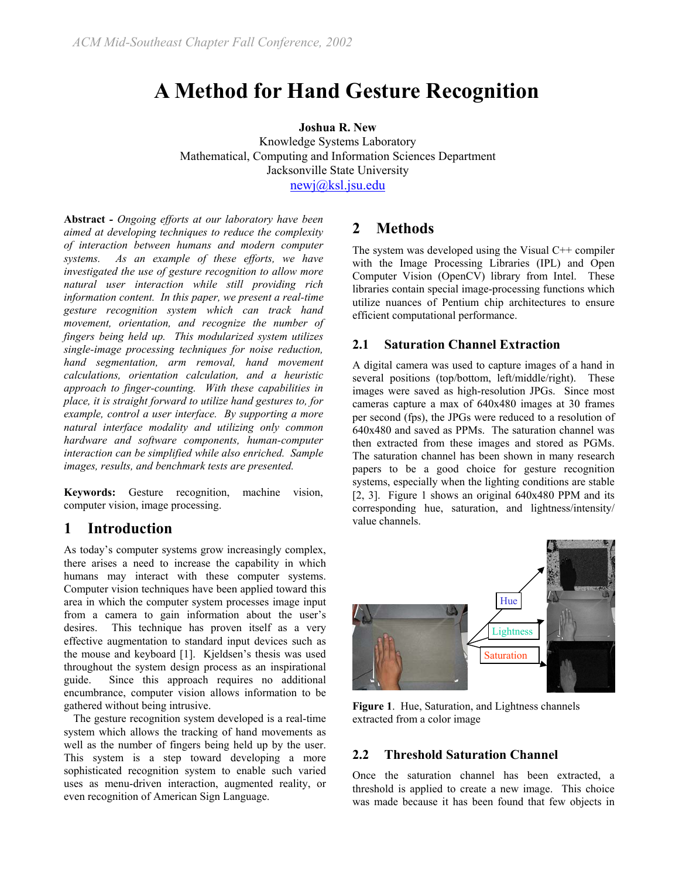# **A Method for Hand Gesture Recognition**

**Joshua R. New** 

Knowledge Systems Laboratory Mathematical, Computing and Information Sciences Department Jacksonville State University [newj@ksl.jsu.edu](mailto:newj@ksl.jsu.edu)

**Abstract** *- Ongoing efforts at our laboratory have been aimed at developing techniques to reduce the complexity of interaction between humans and modern computer systems. As an example of these efforts, we have investigated the use of gesture recognition to allow more natural user interaction while still providing rich information content. In this paper, we present a real-time gesture recognition system which can track hand movement, orientation, and recognize the number of fingers being held up. This modularized system utilizes single-image processing techniques for noise reduction, hand segmentation, arm removal, hand movement calculations, orientation calculation, and a heuristic approach to finger-counting. With these capabilities in place, it is straight forward to utilize hand gestures to, for example, control a user interface. By supporting a more natural interface modality and utilizing only common hardware and software components, human-computer interaction can be simplified while also enriched. Sample images, results, and benchmark tests are presented.* 

**Keywords:** Gesture recognition, machine vision, computer vision, image processing.

#### **1 Introduction**

As today's computer systems grow increasingly complex, there arises a need to increase the capability in which humans may interact with these computer systems. Computer vision techniques have been applied toward this area in which the computer system processes image input from a camera to gain information about the user's desires. This technique has proven itself as a very effective augmentation to standard input devices such as the mouse and keyboard [1]. Kjeldsen's thesis was used throughout the system design process as an inspirational guide. Since this approach requires no additional encumbrance, computer vision allows information to be gathered without being intrusive.

The gesture recognition system developed is a real-time system which allows the tracking of hand movements as well as the number of fingers being held up by the user. This system is a step toward developing a more sophisticated recognition system to enable such varied uses as menu-driven interaction, augmented reality, or even recognition of American Sign Language.

## **2 Methods**

The system was developed using the Visual C++ compiler with the Image Processing Libraries (IPL) and Open Computer Vision (OpenCV) library from Intel. These libraries contain special image-processing functions which utilize nuances of Pentium chip architectures to ensure efficient computational performance.

#### **2.1 Saturation Channel Extraction**

A digital camera was used to capture images of a hand in several positions (top/bottom, left/middle/right). These images were saved as high-resolution JPGs. Since most cameras capture a max of 640x480 images at 30 frames per second (fps), the JPGs were reduced to a resolution of 640x480 and saved as PPMs. The saturation channel was then extracted from these images and stored as PGMs. The saturation channel has been shown in many research papers to be a good choice for gesture recognition systems, especially when the lighting conditions are stable [2, 3]. Figure 1 shows an original 640x480 PPM and its corresponding hue, saturation, and lightness/intensity/ value channels.



**Figure 1**. Hue, Saturation, and Lightness channels extracted from a color image

#### **2.2 Threshold Saturation Channel**

Once the saturation channel has been extracted, a threshold is applied to create a new image. This choice was made because it has been found that few objects in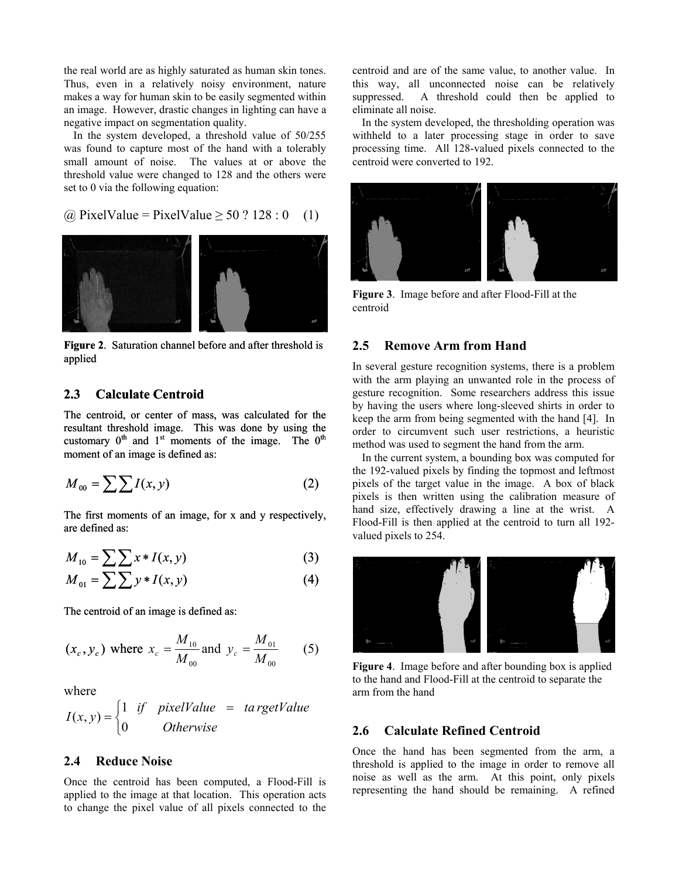the real world are as highly saturated as human skin tones. Thus, even in a relatively noisy environment, nature makes a way for human skin to be easily segmented within an image. However, drastic changes in lighting can have a negative impact on segmentation quality.

In the system developed, a threshold value of 50/255 was found to capture most of the hand with a tolerably small amount of noise. The values at or above the threshold value were changed to 128 and the others were set to 0 via the following equation:

 $(a)$  PixelValue = PixelValue > 50 ? 128 : 0 (1)



**Figure 2**. Saturation channel before and after threshold is applied

#### **2.3 Calculate Centroid**

The centroid, or center of mass, was calculated for the resultant threshold image. This was done by using the customary  $0<sup>th</sup>$  and  $1<sup>st</sup>$  moments of the image. The  $0<sup>th</sup>$ moment of an image is defined as:

$$
M_{00} = \sum \sum I(x, y) \tag{2}
$$

The first moments of an image, for x and y respectively, are defined as:

$$
M_{10} = \sum \sum x \cdot I(x, y) \tag{3}
$$

$$
M_{01} = \sum \sum y * I(x, y) \tag{4}
$$

The centroid of an image is defined as:

$$
(x_c, y_c)
$$
 where  $x_c = \frac{M_{10}}{M_{00}}$  and  $y_c = \frac{M_{01}}{M_{00}}$  (5)

where

$$
I(x, y) = \begin{cases} 1 & \text{if } pixelValue = ta\,rgetValue \\ 0 & \text{Otherwise} \end{cases}
$$

#### **2.4 Reduce Noise**

Once the centroid has been computed, a Flood-Fill is applied to the image at that location. This operation acts to change the pixel value of all pixels connected to the

centroid and are of the same value, to another value. In this way, all unconnected noise can be relatively suppressed. A threshold could then be applied to eliminate all noise.

In the system deve loped, the thresholding operation was withheld to a later processing stage in order to save processing time. All 128-valued pixels connected to the centroid were converted to 192.



**Figure 3**. Image before and after Flood-Fill at the centroid

#### **.5 Remove Arm from Hand 2**

In several gesture recognition systems, there is a problem with the arm playing an unwanted role in the process of gesture recognition. Some researchers address this issue by having the users where long-sleeved shirts in order to keep the arm from being segmented with the hand [4]. In order to circumvent such user restrictions, a heuristic method was used to segment the hand from the arm.

In the current system, a bounding box was computed for the 192-valued pixels by finding the topmost and leftmost pixels of the target value in the image. A box of black pixels is then written using the calibration measure of hand size, effectively drawing a line at the wrist. A Flood-Fill is then applied at the centroid to turn all 192 valued pixels to 254.



**Figure 4**. Image before and after bounding box is applied to the hand and Flood-Fill at the centroid to separate the arm from the hand

#### **.6 Calculate Refined Centroid 2**

Once the hand has been segmented from the arm, a threshold is applied to the image in order to remove all noise as well as the arm. At this point, only pixels representing the hand should be remaining. A refined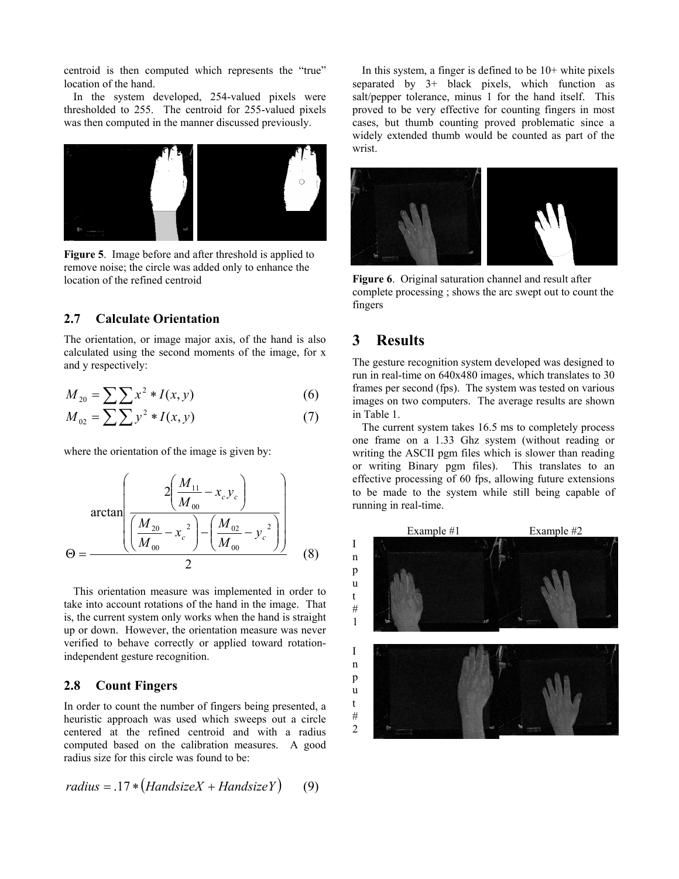centroid is then computed which represents the "true" location of the hand.

In the system developed, 254-valued pixels were thresholded to 255. The centroid for 255-valued pixels was then computed in the manner discussed previously.



**Figure 5**. Image before and after threshold is applied to remove noise; the circle was added only to enhance the location of the refined centroid **Figure 6**. Original saturation channel and result after

#### **2.7 Calculate Orientation**

The orientation, or image major axis, of the hand is also **3 Results** calculated using the second moments of the image, for x and y respectively:<br>
The gesture recognition system developed was designed to

$$
M_{20} = \sum \sum x^2 * I(x, y) \tag{6}
$$

$$
M_{02} = \sum \sum y^2 * I(x, y) \tag{7}
$$

where the orientation of the image is given by:

$$
\arctan\left(\frac{2\left(\frac{M_{11}}{M_{00}}-x_c y_c\right)}{\left(\frac{M_{20}}{M_{00}}-x_c^2\right)-\left(\frac{M_{02}}{M_{00}}-y_c^2\right)}\right)
$$
\n
$$
\Theta = \frac{2\left(\frac{M_{20}}{M_{00}}-x_c^2\right)-\left(\frac{M_{02}}{M_{00}}-y_c^2\right)}{2}\tag{8}
$$

This orientation measure was implemented in order to take into account rotations of the hand in the image. That is, the current system only works when the hand is straight up or down. However, the orientation measure was never verified to behave correctly or applied toward rotationindependent gesture recognition.

#### **2.8 Count Fingers**

In order to count the number of fingers being presented, a heuristic approach was used which sweeps out a circle centered at the refined centroid and with a radius computed based on the calibration measures. A good radius size for this circle was found to be:

*radius* = .17 ∗ ( ) *HandsizeX* + *HandsizeY* (9)

In this system, a finger is defined to be  $10+$  white pixels separated by 3+ black pixels, which function as salt/pepper tolerance, minus 1 for the hand itself. This proved to be very effective for counting fingers in most cases, but thumb counting proved problematic since a widely extended thumb would be counted as part of the wrist.



complete processing ; shows the arc swept out to count the fingers

run in real-time on 640x480 images, which translates to 30 frames per second (fps). The system was tested on various images on two computers. The average results are shown in Table 1.

The current system takes 16.5 ms to completely process one frame on a 1.33 Ghz system (without reading or writing the ASCII pgm files which is slower than reading or writing Binary pgm files). This translates to an effective processing of 60 fps, allowing future extensions to be made to the system while still being capable of running in real-time.